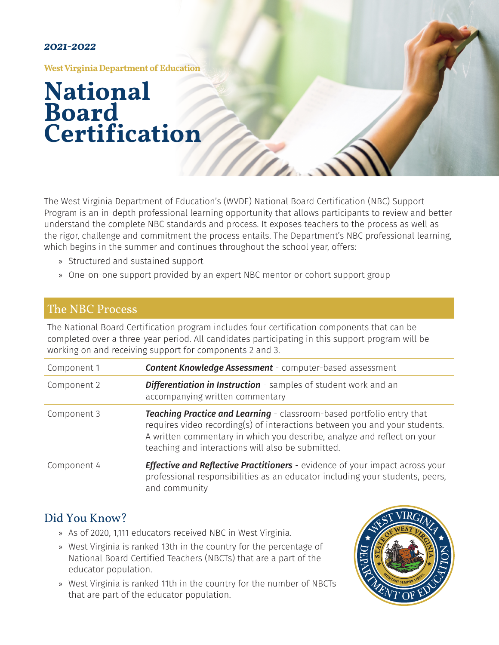#### *2021-2022*

**West Virginia Department of Education**

## **National Board Certification**

The West Virginia Department of Education's (WVDE) National Board Certification (NBC) Support Program is an in-depth professional learning opportunity that allows participants to review and better understand the complete NBC standards and process. It exposes teachers to the process as well as the rigor, challenge and commitment the process entails. The Department's NBC professional learning, which begins in the summer and continues throughout the school year, offers:

- » Structured and sustained support
- » One-on-one support provided by an expert NBC mentor or cohort support group

### The NBC Process

The National Board Certification program includes four certification components that can be completed over a three-year period. All candidates participating in this support program will be working on and receiving support for components 2 and 3.

| Component 1 | <b>Content Knowledge Assessment</b> - computer-based assessment                                                                                                                                                                                                                     |
|-------------|-------------------------------------------------------------------------------------------------------------------------------------------------------------------------------------------------------------------------------------------------------------------------------------|
| Component 2 | Differentiation in Instruction - samples of student work and an<br>accompanying written commentary                                                                                                                                                                                  |
| Component 3 | Teaching Practice and Learning - classroom-based portfolio entry that<br>requires video recording(s) of interactions between you and your students.<br>A written commentary in which you describe, analyze and reflect on your<br>teaching and interactions will also be submitted. |
| Component 4 | <b>Effective and Reflective Practitioners</b> - evidence of your impact across your<br>professional responsibilities as an educator including your students, peers,<br>and community                                                                                                |

### Did You Know?

- » As of 2020, 1,111 educators received NBC in West Virginia.
- » West Virginia is ranked 13th in the country for the percentage of National Board Certified Teachers (NBCTs) that are a part of the educator population.
- » West Virginia is ranked 11th in the country for the number of NBCTs that are part of the educator population.